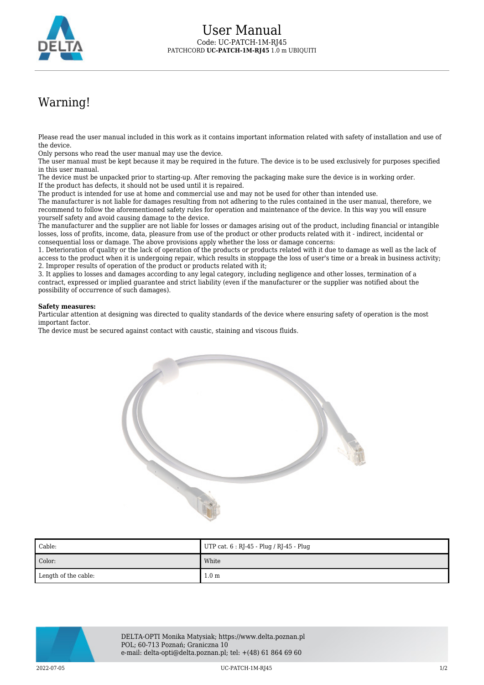

## Warning!

Please read the user manual included in this work as it contains important information related with safety of installation and use of the device.

Only persons who read the user manual may use the device.

The user manual must be kept because it may be required in the future. The device is to be used exclusively for purposes specified in this user manual.

The device must be unpacked prior to starting-up. After removing the packaging make sure the device is in working order. If the product has defects, it should not be used until it is repaired.

The product is intended for use at home and commercial use and may not be used for other than intended use.

The manufacturer is not liable for damages resulting from not adhering to the rules contained in the user manual, therefore, we recommend to follow the aforementioned safety rules for operation and maintenance of the device. In this way you will ensure yourself safety and avoid causing damage to the device.

The manufacturer and the supplier are not liable for losses or damages arising out of the product, including financial or intangible losses, loss of profits, income, data, pleasure from use of the product or other products related with it - indirect, incidental or consequential loss or damage. The above provisions apply whether the loss or damage concerns:

1. Deterioration of quality or the lack of operation of the products or products related with it due to damage as well as the lack of access to the product when it is undergoing repair, which results in stoppage the loss of user's time or a break in business activity; 2. Improper results of operation of the product or products related with it;

3. It applies to losses and damages according to any legal category, including negligence and other losses, termination of a contract, expressed or implied guarantee and strict liability (even if the manufacturer or the supplier was notified about the possibility of occurrence of such damages).

## **Safety measures:**

Particular attention at designing was directed to quality standards of the device where ensuring safety of operation is the most important factor.

The device must be secured against contact with caustic, staining and viscous fluids.



| Cable:               | UTP cat. 6 : RJ-45 - Plug / RJ-45 - Plug |
|----------------------|------------------------------------------|
| Color:               | White                                    |
| Length of the cable: | 1.0 <sub>m</sub>                         |



DELTA-OPTI Monika Matysiak; https://www.delta.poznan.pl POL; 60-713 Poznań; Graniczna 10 e-mail: delta-opti@delta.poznan.pl; tel: +(48) 61 864 69 60